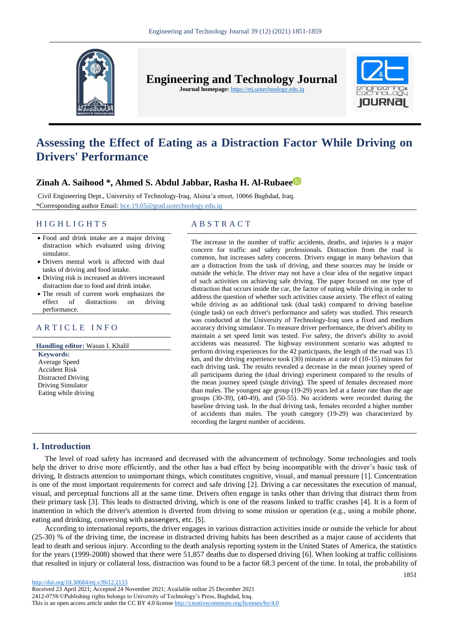

**Engineering and Technology Journal** 

**Journal homepage:** https://etj.uotechnology.edu.iq



# **Assessing the Effect of Eating as a Distraction Factor While Driving on Drivers' Performance**

# **Zinah A. Saihood \*, Ahmed S. Abdul Jabbar, Rasha H. Al-Rubae[e](https://orcid.org/0000-0002-7965-2217)**

Civil Engineering Dept., University of Technology-Iraq, Alsina'a street, 10066 Baghdad, Iraq. \*Corresponding author Email: bce.19.05@grad.uotechnology.edu.iq

# H I G H L I G H T S A B S T R A C T

- Food and drink intake are a major driving distraction which evaluated using driving simulator.
- Drivers mental work is affected with dual tasks of driving and food intake.
- Driving risk is increased as drivers increased distraction due to food and drink intake.
- The result of current work emphasizes the effect of distractions on driving performance.

# ARTICLE INFO

**Handling editor:** Wasan I. Khalil **Keywords:** Average Speed Accident Risk Distracted Driving Driving Simulator Eating while driving

The increase in the number of traffic accidents, deaths, and injuries is a major concern for traffic and safety professionals. Distraction from the road is common, but increases safety concerns. Drivers engage in many behaviors that are a distraction from the task of driving, and these sources may be inside or outside the vehicle. The driver may not have a clear idea of the negative impact of such activities on achieving safe driving. The paper focused on one type of distraction that occurs inside the car, the factor of eating while driving in order to address the question of whether such activities cause anxiety. The effect of eating while driving as an additional task (dual task) compared to driving baseline (single task) on each driver's performance and safety was studied. This research was conducted at the University of Technology-Iraq uses a fixed and medium accuracy driving simulator. To measure driver performance, the driver's ability to maintain a set speed limit was tested. For safety, the driver's ability to avoid accidents was measured. The highway environment scenario was adopted to perform driving experiences for the 42 participants, the length of the road was 15 km, and the driving experience took (30) minutes at a rate of (10-15) minutes for each driving task. The results revealed a decrease in the mean journey speed of all participants during the (dual driving) experiment compared to the results of the mean journey speed (single driving). The speed of females decreased more than males. The youngest age group (19-29) years led at a faster rate than the age groups (30-39), (40-49), and (50-55). No accidents were recorded during the baseline driving task. In the dual driving task, females recorded a higher number of accidents than males. The youth category (19-29) was characterized by recording the largest number of accidents.

# **1. Introduction**

The level of road safety has increased and decreased with the advancement of technology. Some technologies and tools help the driver to drive more efficiently, and the other has a bad effect by being incompatible with the driver's basic task of driving, It distracts attention to unimportant things, which constitutes cognitive, visual, and manual pressure [1]. Concentration is one of the most important requirements for correct and safe driving [2]. Driving a car necessitates the execution of manual, visual, and perceptual functions all at the same time. Drivers often engage in tasks other than driving that distract them from their primary task [3]. This leads to distracted driving, which is one of the reasons linked to traffic crashes [4]. It is a form of inattention in which the driver's attention is diverted from driving to some mission or operation (e.g., using a mobile phone, eating and drinking, conversing with passengers, etc. [5].

According to international reports, the driver engages in various distraction activities inside or outside the vehicle for about (25-30) % of the driving time, the increase in distracted driving habits has been described as a major cause of accidents that lead to death and serious injury. According to the death analysis reporting system in the United States of America, the statistics for the years (1999-2008) showed that there were 51,857 deaths due to dispersed driving [6]. When looking at traffic collisions that resulted in injury or collateral loss, distraction was found to be a factor 68.3 percent of the time. In total, the probability of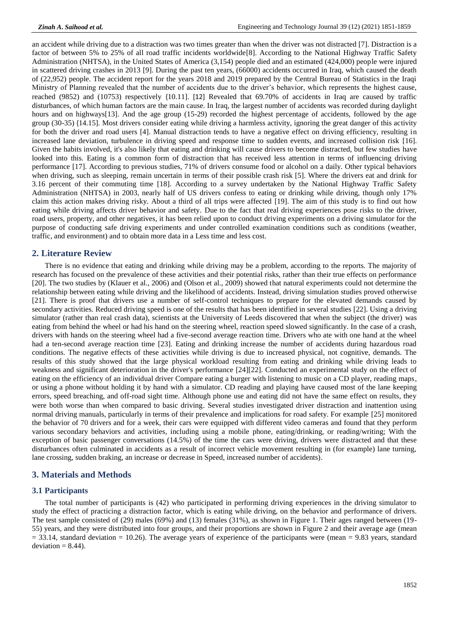an accident while driving due to a distraction was two times greater than when the driver was not distracted [7]. Distraction is a factor of between 5% to 25% of all road traffic incidents worldwide[8]. According to the National Highway Traffic Safety Administration (NHTSA), in the United States of America (3,154) people died and an estimated (424,000) people were injured in scattered driving crashes in 2013 [9]. During the past ten years, (66000) accidents occurred in Iraq, which caused the death of (22,952) people. The accident report for the years 2018 and 2019 prepared by the Central Bureau of Statistics in the Iraqi Ministry of Planning revealed that the number of accidents due to the driver's behavior, which represents the highest cause, reached (9852) and (10753) respectively {10.11]. [12] Revealed that 69.70% of accidents in Iraq are caused by traffic disturbances, of which human factors are the main cause. In Iraq, the largest number of accidents was recorded during daylight hours and on highways [13]. And the age group (15-29) recorded the highest percentage of accidents, followed by the age group (30-35) {14.15]. Most drivers consider eating while driving a harmless activity, ignoring the great danger of this activity for both the driver and road users [4]. Manual distraction tends to have a negative effect on driving efficiency, resulting in increased lane deviation, turbulence in driving speed and response time to sudden events, and increased collision risk [16]. Given the habits involved, it's also likely that eating and drinking will cause drivers to become distracted, but few studies have looked into this. Eating is a common form of distraction that has received less attention in terms of influencing driving performance [17]. According to previous studies, 71% of drivers consume food or alcohol on a daily. Other typical behaviors when driving, such as sleeping, remain uncertain in terms of their possible crash risk [5]. Where the drivers eat and drink for 3.16 percent of their commuting time [18]. According to a survey undertaken by the National Highway Traffic Safety Administration (NHTSA) in 2003, nearly half of US drivers confess to eating or drinking while driving, though only 17% claim this action makes driving risky. About a third of all trips were affected [19]. The aim of this study is to find out how eating while driving affects driver behavior and safety. Due to the fact that real driving experiences pose risks to the driver, road users, property, and other negatives, it has been relied upon to conduct driving experiments on a driving simulator for the purpose of conducting safe driving experiments and under controlled examination conditions such as conditions (weather, traffic, and environment) and to obtain more data in a Less time and less cost.

#### **2. Literature Review**

There is no evidence that eating and drinking while driving may be a problem, according to the reports. The majority of research has focused on the prevalence of these activities and their potential risks, rather than their true effects on performance [20]. The two studies by (Klauer et al., 2006) and (Olson et al., 2009) showed that natural experiments could not determine the relationship between eating while driving and the likelihood of accidents. Instead, driving simulation studies proved otherwise [21]. There is proof that drivers use a number of self-control techniques to prepare for the elevated demands caused by secondary activities. Reduced driving speed is one of the results that has been identified in several studies [22]. Using a driving simulator (rather than real crash data), scientists at the University of Leeds discovered that when the subject (the driver) was eating from behind the wheel or had his hand on the steering wheel, reaction speed slowed significantly. In the case of a crash, drivers with hands on the steering wheel had a five-second average reaction time. Drivers who ate with one hand at the wheel had a ten-second average reaction time [23]. Eating and drinking increase the number of accidents during hazardous road conditions. The negative effects of these activities while driving is due to increased physical, not cognitive, demands. The results of this study showed that the large physical workload resulting from eating and drinking while driving leads to weakness and significant deterioration in the driver's performance [24][22]. Conducted an experimental study on the effect of eating on the efficiency of an individual driver Compare eating a burger with listening to music on a CD player, reading maps, or using a phone without holding it by hand with a simulator. CD reading and playing have caused most of the lane keeping errors, speed breaching, and off-road sight time. Although phone use and eating did not have the same effect on results, they were both worse than when compared to basic driving. Several studies investigated driver distraction and inattention using normal driving manuals, particularly in terms of their prevalence and implications for road safety. For example [25] monitored the behavior of 70 drivers and for a week, their cars were equipped with different video cameras and found that they perform various secondary behaviors and activities, including using a mobile phone, eating/drinking, or reading/writing; With the exception of basic passenger conversations (14.5%) of the time the cars were driving, drivers were distracted and that these disturbances often culminated in accidents as a result of incorrect vehicle movement resulting in (for example) lane turning, lane crossing, sudden braking, an increase or decrease in Speed, increased number of accidents).

# **3. Materials and Methods**

## **3.1 Participants**

The total number of participants is (42) who participated in performing driving experiences in the driving simulator to study the effect of practicing a distraction factor, which is eating while driving, on the behavior and performance of drivers. The test sample consisted of (29) males (69%) and (13) females (31%), as shown in Figure 1. Their ages ranged between (19- 55) years, and they were distributed into four groups, and their proportions are shown in Figure 2 and their average age (mean  $= 33.14$ , standard deviation  $= 10.26$ ). The average years of experience of the participants were (mean  $= 9.83$  years, standard  $deviation = 8.44$ ).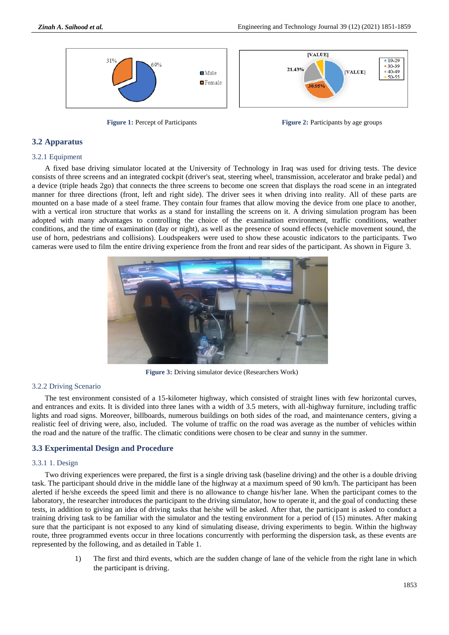

**Figure 1:** Percept of Participants **Figure 2:** Participants by age groups

# **3.2 Apparatus**

#### 3.2.1 Equipment

A fixed base driving simulator located at the University of Technology in Iraq was used for driving tests. The device consists of three screens and an integrated cockpit (driver's seat, steering wheel, transmission, accelerator and brake pedal) and a device (triple heads 2go) that connects the three screens to become one screen that displays the road scene in an integrated manner for three directions (front, left and right side). The driver sees it when driving into reality. All of these parts are mounted on a base made of a steel frame. They contain four frames that allow moving the device from one place to another, with a vertical iron structure that works as a stand for installing the screens on it. A driving simulation program has been adopted with many advantages to controlling the choice of the examination environment, traffic conditions, weather conditions, and the time of examination (day or night), as well as the presence of sound effects (vehicle movement sound, the use of horn, pedestrians and collisions). Loudspeakers were used to show these acoustic indicators to the participants. Two cameras were used to film the entire driving experience from the front and rear sides of the participant. As shown in Figure 3.



**Figure 3:** Driving simulator device (Researchers Work)

# 3.2.2 Driving Scenario

The test environment consisted of a 15-kilometer highway, which consisted of straight lines with few horizontal curves, and entrances and exits. It is divided into three lanes with a width of 3.5 meters, with all-highway furniture, including traffic lights and road signs. Moreover, billboards, numerous buildings on both sides of the road, and maintenance centers, giving a realistic feel of driving were, also, included. The volume of traffic on the road was average as the number of vehicles within the road and the nature of the traffic. The climatic conditions were chosen to be clear and sunny in the summer.

# **3.3 Experimental Design and Procedure**

#### 3.3.1 1. Design

Two driving experiences were prepared, the first is a single driving task (baseline driving) and the other is a double driving task. The participant should drive in the middle lane of the highway at a maximum speed of 90 km/h. The participant has been alerted if he/she exceeds the speed limit and there is no allowance to change his/her lane. When the participant comes to the laboratory, the researcher introduces the participant to the driving simulator, how to operate it, and the goal of conducting these tests, in addition to giving an idea of driving tasks that he/she will be asked. After that, the participant is asked to conduct a training driving task to be familiar with the simulator and the testing environment for a period of (15) minutes. After making sure that the participant is not exposed to any kind of simulating disease, driving experiments to begin. Within the highway route, three programmed events occur in three locations concurrently with performing the dispersion task, as these events are represented by the following, and as detailed in Table 1.

> 1) The first and third events, which are the sudden change of lane of the vehicle from the right lane in which the participant is driving.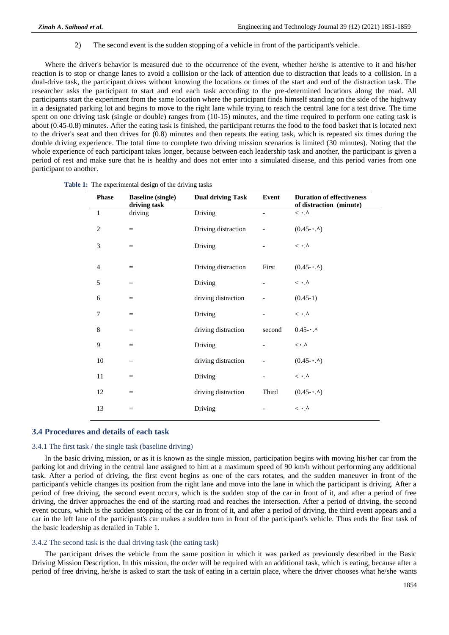2) The second event is the sudden stopping of a vehicle in front of the participant's vehicle.

Where the driver's behavior is measured due to the occurrence of the event, whether he/she is attentive to it and his/her reaction is to stop or change lanes to avoid a collision or the lack of attention due to distraction that leads to a collision. In a dual-drive task, the participant drives without knowing the locations or times of the start and end of the distraction task. The researcher asks the participant to start and end each task according to the pre-determined locations along the road. All participants start the experiment from the same location where the participant finds himself standing on the side of the highway in a designated parking lot and begins to move to the right lane while trying to reach the central lane for a test drive. The time spent on one driving task (single or double) ranges from (10-15) minutes, and the time required to perform one eating task is about (0.45-0.8) minutes. After the eating task is finished, the participant returns the food to the food basket that is located next to the driver's seat and then drives for (0.8) minutes and then repeats the eating task, which is repeated six times during the double driving experience. The total time to complete two driving mission scenarios is limited (30 minutes). Noting that the whole experience of each participant takes longer, because between each leadership task and another, the participant is given a period of rest and make sure that he is healthy and does not enter into a simulated disease, and this period varies from one participant to another.

| <b>Phase</b>   | <b>Baseline</b> (single)<br>driving task | <b>Dual driving Task</b> | Event  | <b>Duration of effectiveness</b><br>of distraction (minute) |
|----------------|------------------------------------------|--------------------------|--------|-------------------------------------------------------------|
| $\mathbf{1}$   | driving                                  | Driving                  |        | $\langle \cdot \rangle^{\mathcal{A}}$                       |
| $\overline{2}$ | $=$                                      | Driving distraction      |        | $(0.45\cdot\cdot\cdot)$                                     |
| 3              | $=$                                      | Driving                  |        | $\langle \cdot \rangle^{\Lambda}$                           |
| 4              | $=$                                      | Driving distraction      | First  | $(0.45 - \cdot \cdot \cdot)$                                |
| 5              | $=$                                      | Driving                  |        | $\langle \cdot \rangle^{\Lambda}$                           |
| 6              | $=$                                      | driving distraction      |        | $(0.45-1)$                                                  |
| 7              | $=$                                      | Driving                  |        | $< \cdot \wedge$                                            |
| 8              | $=$                                      | driving distraction      | second | $0.45 - A$                                                  |
| 9              | $=$                                      | Driving                  |        | $\lt\cdot\Lambda$                                           |
| 10             | $=$                                      | driving distraction      |        | $(0.45\cdot\cdot\cdot)$                                     |
| 11             | =                                        | Driving                  |        | $\lt \cdot \wedge$                                          |
| 12             | $=$                                      | driving distraction      | Third  | $(0.45\cdot\cdot\cdot)$                                     |
| 13             | =                                        | Driving                  |        | $< \cdot \wedge$                                            |

#### **3.4 Procedures and details of each task**

#### 3.4.1 The first task / the single task (baseline driving)

In the basic driving mission, or as it is known as the single mission, participation begins with moving his/her car from the parking lot and driving in the central lane assigned to him at a maximum speed of 90 km/h without performing any additional task. After a period of driving, the first event begins as one of the cars rotates, and the sudden maneuver in front of the participant's vehicle changes its position from the right lane and move into the lane in which the participant is driving. After a period of free driving, the second event occurs, which is the sudden stop of the car in front of it, and after a period of free driving, the driver approaches the end of the starting road and reaches the intersection. After a period of driving, the second event occurs, which is the sudden stopping of the car in front of it, and after a period of driving, the third event appears and a car in the left lane of the participant's car makes a sudden turn in front of the participant's vehicle. Thus ends the first task of the basic leadership as detailed in Table 1.

#### 3.4.2 The second task is the dual driving task (the eating task)

The participant drives the vehicle from the same position in which it was parked as previously described in the Basic Driving Mission Description. In this mission, the order will be required with an additional task, which is eating, because after a period of free driving, he/she is asked to start the task of eating in a certain place, where the driver chooses what he/she wants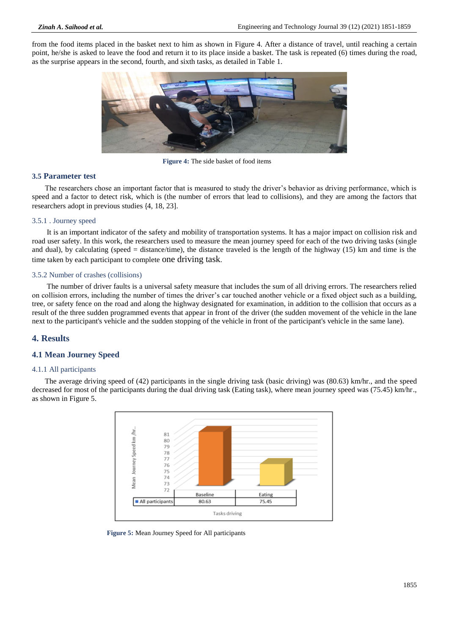from the food items placed in the basket next to him as shown in Figure 4. After a distance of travel, until reaching a certain point, he/she is asked to leave the food and return it to its place inside a basket. The task is repeated (6) times during the road, as the surprise appears in the second, fourth, and sixth tasks, as detailed in Table 1.



**Figure 4:** The side basket of food items

# **3.5 Parameter test**

The researchers chose an important factor that is measured to study the driver's behavior as driving performance, which is speed and a factor to detect risk, which is (the number of errors that lead to collisions), and they are among the factors that researchers adopt in previous studies {4, 18, 23].

#### 3.5.1 . Journey speed

It is an important indicator of the safety and mobility of transportation systems. It has a major impact on collision risk and road user safety. In this work, the researchers used to measure the mean journey speed for each of the two driving tasks (single and dual), by calculating (speed = distance/time), the distance traveled is the length of the highway  $(15)$  km and time is the time taken by each participant to complete one driving task.

#### 3.5.2 Number of crashes (collisions)

The number of driver faults is a universal safety measure that includes the sum of all driving errors. The researchers relied on collision errors, including the number of times the driver's car touched another vehicle or a fixed object such as a building, tree, or safety fence on the road and along the highway designated for examination, in addition to the collision that occurs as a result of the three sudden programmed events that appear in front of the driver (the sudden movement of the vehicle in the lane next to the participant's vehicle and the sudden stopping of the vehicle in front of the participant's vehicle in the same lane).

# **4. Results**

# **4.1 Mean Journey Speed**

#### 4.1.1 All participants

The average driving speed of (42) participants in the single driving task (basic driving) was (80.63) km/hr., and the speed decreased for most of the participants during the dual driving task (Eating task), where mean journey speed was (75.45) km/hr., as shown in Figure 5.



**Figure 5:** Mean Journey Speed for All participants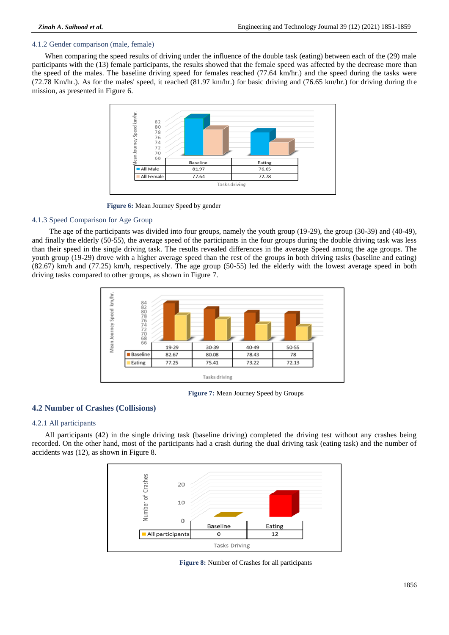# 4.1.2 Gender comparison (male, female)

When comparing the speed results of driving under the influence of the double task (eating) between each of the (29) male participants with the (13) female participants, the results showed that the female speed was affected by the decrease more than the speed of the males. The baseline driving speed for females reached (77.64 km/hr.) and the speed during the tasks were (72.78 Km/hr.). As for the males' speed, it reached (81.97 km/hr.) for basic driving and (76.65 km/hr.) for driving during the mission, as presented in Figure 6.



**Figure 6:** Mean Journey Speed by gender

#### 4.1.3 Speed Comparison for Age Group

 The age of the participants was divided into four groups, namely the youth group (19-29), the group (30-39) and (40-49), and finally the elderly (50-55), the average speed of the participants in the four groups during the double driving task was less than their speed in the single driving task. The results revealed differences in the average Speed among the age groups. The youth group (19-29) drove with a higher average speed than the rest of the groups in both driving tasks (baseline and eating) (82.67) km/h and (77.25) km/h, respectively. The age group (50-55) led the elderly with the lowest average speed in both driving tasks compared to other groups, as shown in Figure 7.



**Figure 7:** Mean Journey Speed by Groups

# **4.2 Number of Crashes (Collisions)**

#### 4.2.1 All participants

All participants (42) in the single driving task (baseline driving) completed the driving test without any crashes being recorded. On the other hand, most of the participants had a crash during the dual driving task (eating task) and the number of accidents was (12), as shown in Figure 8.



**Figure 8:** Number of Crashes for all participants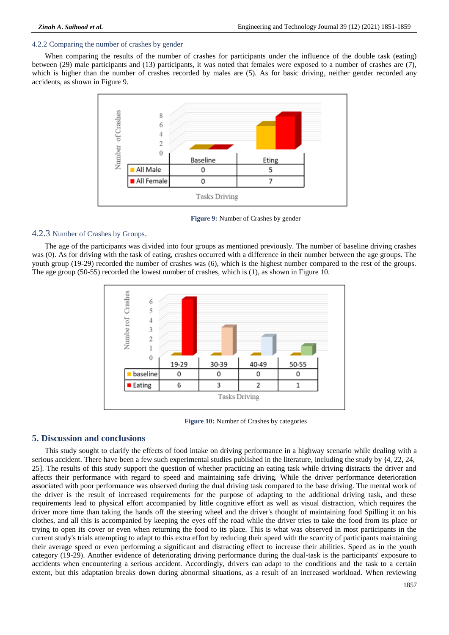# 4.2.2 Comparing the number of crashes by gender

When comparing the results of the number of crashes for participants under the influence of the double task (eating) between (29) male participants and (13) participants, it was noted that females were exposed to a number of crashes are (7), which is higher than the number of crashes recorded by males are (5). As for basic driving, neither gender recorded any accidents, as shown in Figure 9.



**Figure 9:** Number of Crashes by gender

# 4.2.3 Number of Crashes by Groups.

The age of the participants was divided into four groups as mentioned previously. The number of baseline driving crashes was (0). As for driving with the task of eating, crashes occurred with a difference in their number between the age groups. The youth group (19-29) recorded the number of crashes was (6), which is the highest number compared to the rest of the groups. The age group (50-55) recorded the lowest number of crashes, which is (1), as shown in Figure 10.



**Figure 10:** Number of Crashes by categories

# **5. Discussion and conclusions**

This study sought to clarify the effects of food intake on driving performance in a highway scenario while dealing with a serious accident. There have been a few such experimental studies published in the literature, including the study by {4, 22, 24, 25]. The results of this study support the question of whether practicing an eating task while driving distracts the driver and affects their performance with regard to speed and maintaining safe driving. While the driver performance deterioration associated with poor performance was observed during the dual driving task compared to the base driving. The mental work of the driver is the result of increased requirements for the purpose of adapting to the additional driving task, and these requirements lead to physical effort accompanied by little cognitive effort as well as visual distraction, which requires the driver more time than taking the hands off the steering wheel and the driver's thought of maintaining food Spilling it on his clothes, and all this is accompanied by keeping the eyes off the road while the driver tries to take the food from its place or trying to open its cover or even when returning the food to its place. This is what was observed in most participants in the current study's trials attempting to adapt to this extra effort by reducing their speed with the scarcity of participants maintaining their average speed or even performing a significant and distracting effect to increase their abilities. Speed as in the youth category (19-29). Another evidence of deteriorating driving performance during the dual-task is the participants' exposure to accidents when encountering a serious accident. Accordingly, drivers can adapt to the conditions and the task to a certain extent, but this adaptation breaks down during abnormal situations, as a result of an increased workload. When reviewing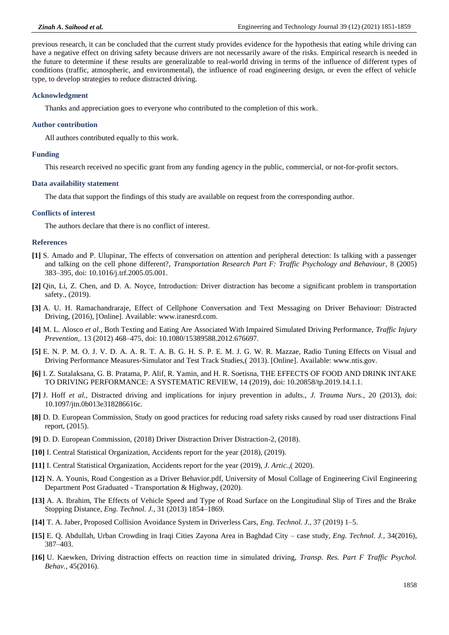previous research, it can be concluded that the current study provides evidence for the hypothesis that eating while driving can have a negative effect on driving safety because drivers are not necessarily aware of the risks. Empirical research is needed in the future to determine if these results are generalizable to real-world driving in terms of the influence of different types of conditions (traffic, atmospheric, and environmental), the influence of road engineering design, or even the effect of vehicle type, to develop strategies to reduce distracted driving.

#### **Acknowledgment**

Thanks and appreciation goes to everyone who contributed to the completion of this work.

#### **Author contribution**

All authors contributed equally to this work.

#### **Funding**

This research received no specific grant from any funding agency in the public, commercial, or not-for-profit sectors.

#### **Data availability statement**

The data that support the findings of this study are available on request from the corresponding author.

#### **Conflicts of interest**

The authors declare that there is no conflict of interest.

# **References**

- **[1]** S. Amado and P. Ulupinar, The effects of conversation on attention and peripheral detection: Is talking with a passenger and talking on the cell phone different?, *Transportation Research Part F: Traffic Psychology and Behaviour*, 8 (2005) 383–395, doi: 10.1016/j.trf.2005.05.001.
- **[2]** Qin, Li, Z. Chen, and D. A. Noyce, Introduction: Driver distraction has become a significant problem in transportation safety., (2019).
- **[3]** A. U. H. Ramachandraraje, Effect of Cellphone Conversation and Text Messaging on Driver Behaviour: Distracted Driving, (2016), [Online]. Available: www.iranesrd.com.
- **[4]** M. L. Alosco *et al.*, Both Texting and Eating Are Associated With Impaired Simulated Driving Performance, *Traffic Injury Prevention*,. 13 (2012) 468–475, doi: 10.1080/15389588.2012.676697.
- **[5]** E. N. P. M. O. J. V. D. A. A. R. T. A. B. G. H. S. P. E. M. J. G. W. R. Mazzae, Radio Tuning Effects on Visual and Driving Performance Measures-Simulator and Test Track Studies,( 2013). [Online]. Available: www.ntis.gov.
- **[6]** I. Z. Sutalaksana, G. B. Pratama, P. Alif, R. Yamin, and H. R. Soetisna, THE EFFECTS OF FOOD AND DRINK INTAKE TO DRIVING PERFORMANCE: A SYSTEMATIC REVIEW, 14 (2019), doi: 10.20858/tp.2019.14.1.1.
- **[7]** J. Hoff *et al.*, Distracted driving and implications for injury prevention in adults., *J. Trauma Nurs.*, 20 (2013), doi: 10.1097/jtn.0b013e318286616c.
- **[8]** D. D. European Commission, Study on good practices for reducing road safety risks caused by road user distractions Final report, (2015).
- **[9]** D. D. European Commission, (2018) Driver Distraction Driver Distraction-2, (2018).
- **[10]** I. Central Statistical Organization, Accidents report for the year (2018), (2019).
- **[11]** I. Central Statistical Organization, Accidents report for the year (2019), *J. Artic.*,( 2020).
- **[12]** N. A. Younis, Road Congestion as a Driver Behavior.pdf, University of Mosul Collage of Engineering Civil Engineering Department Post Graduated - Transportation & Highway, (2020).
- **[13]** A. A. Ibrahim, The Effects of Vehicle Speed and Type of Road Surface on the Longitudinal Slip of Tires and the Brake Stopping Distance, *Eng. Technol. J.*, 31 (2013) 1854–1869.
- **[14]** T. A. Jaber, Proposed Collision Avoidance System in Driverless Cars, *Eng. Technol. J.*, 37 (2019) 1–5.
- **[15]** E. Q. Abdullah, Urban Crowding in Iraqi Cities Zayona Area in Baghdad City case study, *Eng. Technol. J.*, 34(2016), 387–403.
- **[16]** U. Kaewken, Driving distraction effects on reaction time in simulated driving, *Transp. Res. Part F Traffic Psychol. Behav.*, 45(2016).